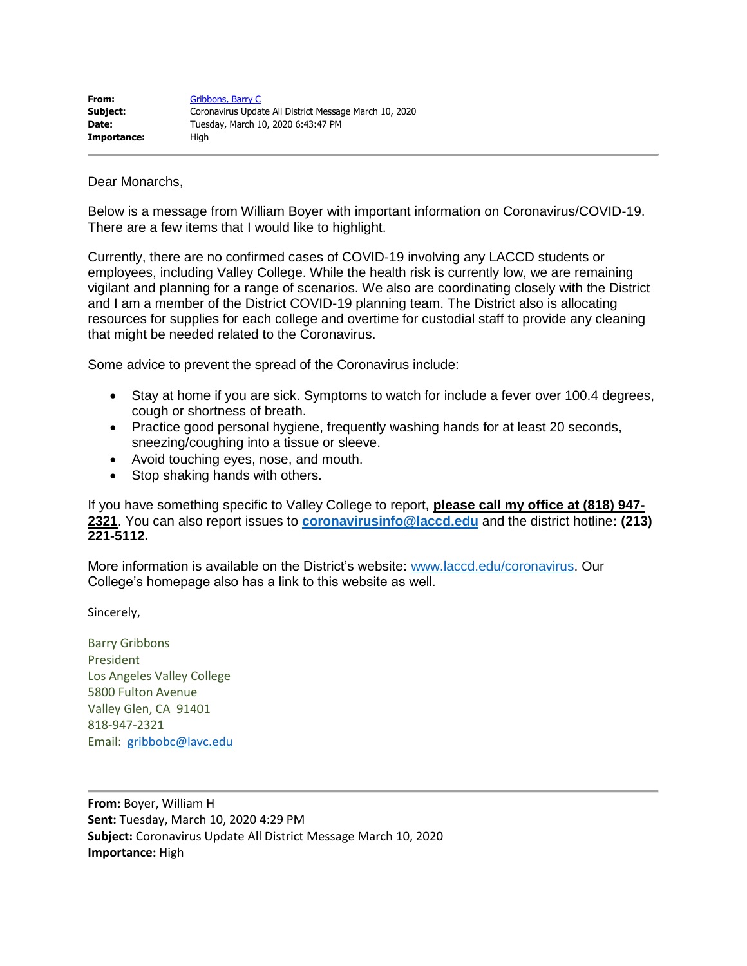| From:       | Gribbons, Barry C                                      |
|-------------|--------------------------------------------------------|
| Subject:    | Coronavirus Update All District Message March 10, 2020 |
| Date:       | Tuesday, March 10, 2020 6:43:47 PM                     |
| Importance: | Hiah                                                   |

Dear Monarchs,

Below is a message from William Boyer with important information on Coronavirus/COVID-19. There are a few items that I would like to highlight.

Currently, there are no confirmed cases of COVID-19 involving any LACCD students or employees, including Valley College. While the health risk is currently low, we are remaining vigilant and planning for a range of scenarios. We also are coordinating closely with the District and I am a member of the District COVID-19 planning team. The District also is allocating resources for supplies for each college and overtime for custodial staff to provide any cleaning that might be needed related to the Coronavirus.

Some advice to prevent the spread of the Coronavirus include:

- Stay at home if you are sick. Symptoms to watch for include a fever over 100.4 degrees, cough or shortness of breath.
- Practice good personal hygiene, frequently washing hands for at least 20 seconds, sneezing/coughing into a tissue or sleeve.
- Avoid touching eyes, nose, and mouth.
- Stop shaking hands with others.

If you have something specific to Valley College to report, **please call my office at (818) 947- 2321**. You can also report issues to **[coronavirusinfo@laccd.edu](mailto:coronavirusinfo@laccd.edu)** and the district hotline**: (213) 221-5112.**

More information is available on the District's website: [www.laccd.edu/coronavirus.](http://www.laccd.edu/coronavirus) Our College's homepage also has a link to this website as well.

Sincerely,

Barry Gribbons President Los Angeles Valley College 5800 Fulton Avenue Valley Glen, CA 91401 818-947-2321 Email: [gribbobc@lavc.edu](mailto:gribbobc@lavc.edu)

**From:** Boyer, William H **Sent:** Tuesday, March 10, 2020 4:29 PM **Subject:** Coronavirus Update All District Message March 10, 2020 **Importance:** High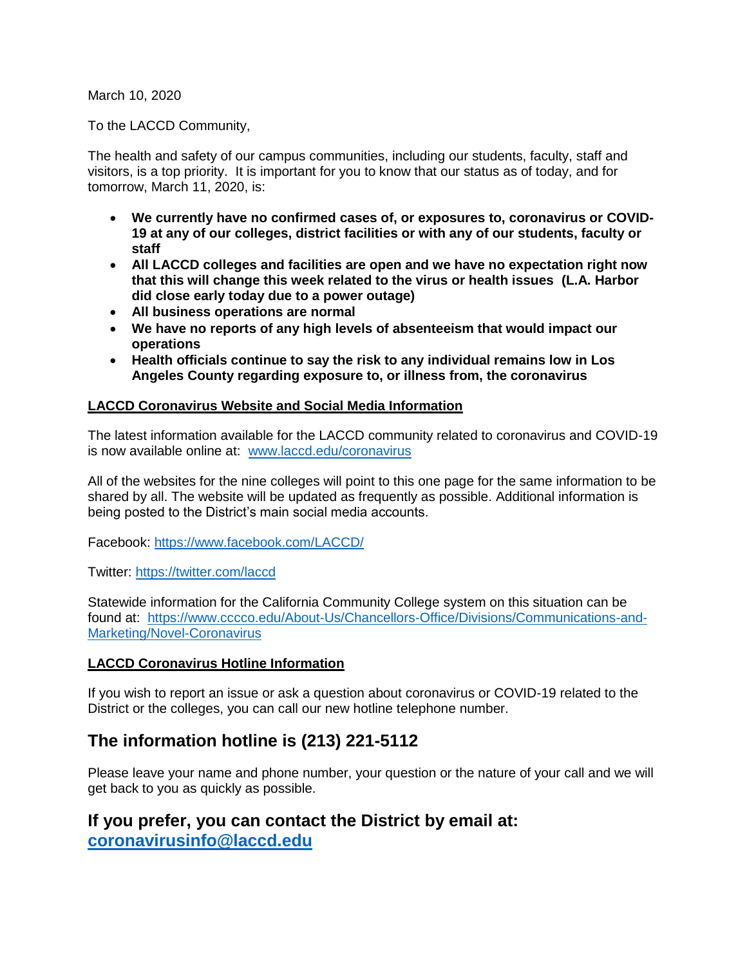March 10, 2020

To the LACCD Community,

The health and safety of our campus communities, including our students, faculty, staff and visitors, is a top priority. It is important for you to know that our status as of today, and for tomorrow, March 11, 2020, is:

- **We currently have no confirmed cases of, or exposures to, coronavirus or COVID-19 at any of our colleges, district facilities or with any of our students, faculty or staff**
- **All LACCD colleges and facilities are open and we have no expectation right now that this will change this week related to the virus or health issues (L.A. Harbor did close early today due to a power outage)**
- **All business operations are normal**
- **We have no reports of any high levels of absenteeism that would impact our operations**
- **Health officials continue to say the risk to any individual remains low in Los Angeles County regarding exposure to, or illness from, the coronavirus**

### **LACCD Coronavirus Website and Social Media Information**

The latest information available for the LACCD community related to coronavirus and COVID-19 is now available online at: [www.laccd.edu/coronavirus](http://www.laccd.edu/coronavirus)

All of the websites for the nine colleges will point to this one page for the same information to be shared by all. The website will be updated as frequently as possible. Additional information is being posted to the District's main social media accounts.

Facebook:<https://www.facebook.com/LACCD/>

Twitter:<https://twitter.com/laccd>

Statewide information for the California Community College system on this situation can be found at: [https://www.cccco.edu/About-Us/Chancellors-Office/Divisions/Communications-and-](https://www.cccco.edu/About-Us/Chancellors-Office/Divisions/Communications-and-Marketing/Novel-Coronavirus)[Marketing/Novel-Coronavirus](https://www.cccco.edu/About-Us/Chancellors-Office/Divisions/Communications-and-Marketing/Novel-Coronavirus)

#### **LACCD Coronavirus Hotline Information**

If you wish to report an issue or ask a question about coronavirus or COVID-19 related to the District or the colleges, you can call our new hotline telephone number.

# **The information hotline is (213) 221-5112**

Please leave your name and phone number, your question or the nature of your call and we will get back to you as quickly as possible.

## **If you prefer, you can contact the District by email at: [coronavirusinfo@laccd.edu](mailto:coronavirusinfo@laccd.edu)**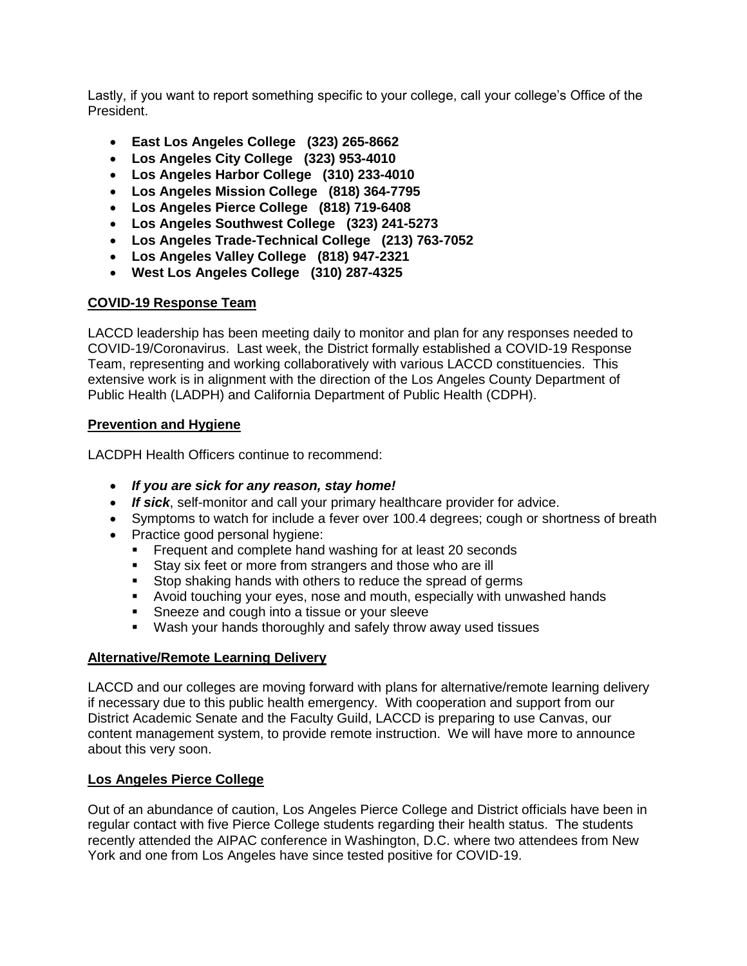Lastly, if you want to report something specific to your college, call your college's Office of the President.

- **East Los Angeles College (323) 265-8662**
- **Los Angeles City College (323) 953-4010**
- **Los Angeles Harbor College (310) 233-4010**
- **Los Angeles Mission College (818) 364-7795**
- **Los Angeles Pierce College (818) 719-6408**
- **Los Angeles Southwest College (323) 241-5273**
- **Los Angeles Trade-Technical College (213) 763-7052**
- **Los Angeles Valley College (818) 947-2321**
- **West Los Angeles College (310) 287-4325**

#### **COVID-19 Response Team**

LACCD leadership has been meeting daily to monitor and plan for any responses needed to COVID-19/Coronavirus. Last week, the District formally established a COVID-19 Response Team, representing and working collaboratively with various LACCD constituencies. This extensive work is in alignment with the direction of the Los Angeles County Department of Public Health (LADPH) and California Department of Public Health (CDPH).

#### **Prevention and Hygiene**

LACDPH Health Officers continue to recommend:

- *If you are sick for any reason, stay home!*
- *If sick*, self-monitor and call your primary healthcare provider for advice.
- Symptoms to watch for include a fever over 100.4 degrees; cough or shortness of breath
- Practice good personal hygiene:
	- **Example 1** Frequent and complete hand washing for at least 20 seconds
	- **EXECT** Stay six feet or more from strangers and those who are ill
	- Stop shaking hands with others to reduce the spread of germs
	- Avoid touching your eyes, nose and mouth, especially with unwashed hands
	- **EXE** Sneeze and cough into a tissue or your sleeve
	- Wash your hands thoroughly and safely throw away used tissues

#### **Alternative/Remote Learning Delivery**

LACCD and our colleges are moving forward with plans for alternative/remote learning delivery if necessary due to this public health emergency. With cooperation and support from our District Academic Senate and the Faculty Guild, LACCD is preparing to use Canvas, our content management system, to provide remote instruction. We will have more to announce about this very soon.

#### **Los Angeles Pierce College**

Out of an abundance of caution, Los Angeles Pierce College and District officials have been in regular contact with five Pierce College students regarding their health status. The students recently attended the AIPAC conference in Washington, D.C. where two attendees from New York and one from Los Angeles have since tested positive for COVID-19.